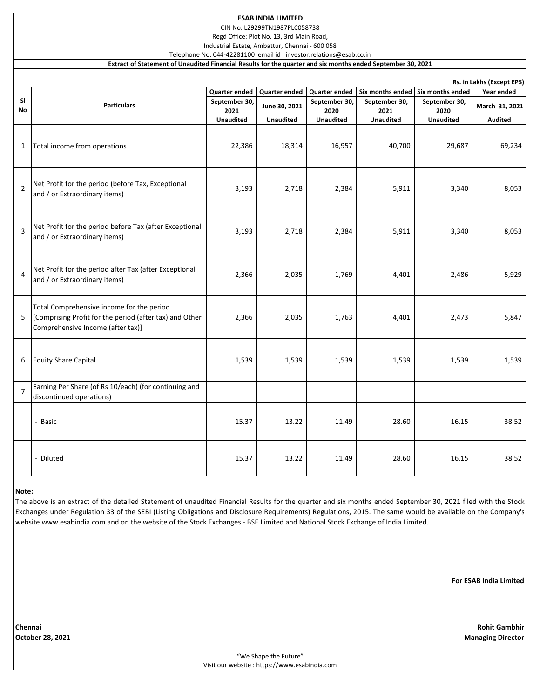CIN No. L29299TN1987PLC058738

Regd Office: Plot No. 13, 3rd Main Road,

Industrial Estate, Ambattur, Chennai - 600 058 Telephone No. 044-42281100 email id : investor.relations@esab.co.in

**Extract of Statement of Unaudited Financial Results for the quarter and six months ended September 30, 2021**

|                 | Rs. in Lakhs (Except EPS)                                                                                                                 |                       |                  |                       |                       |                       |                |
|-----------------|-------------------------------------------------------------------------------------------------------------------------------------------|-----------------------|------------------|-----------------------|-----------------------|-----------------------|----------------|
|                 |                                                                                                                                           | Quarter ended         | Quarter ended    | Quarter ended         | Six months ended      | Six months ended      | Year ended     |
| <b>SI</b><br>No | <b>Particulars</b>                                                                                                                        | September 30,<br>2021 | June 30, 2021    | September 30,<br>2020 | September 30,<br>2021 | September 30,<br>2020 | March 31, 2021 |
|                 |                                                                                                                                           | <b>Unaudited</b>      | <b>Unaudited</b> | <b>Unaudited</b>      | <b>Unaudited</b>      | <b>Unaudited</b>      | <b>Audited</b> |
| $\mathbf{1}$    | Total income from operations                                                                                                              | 22,386                | 18,314           | 16,957                | 40,700                | 29,687                | 69,234         |
| $\overline{2}$  | Net Profit for the period (before Tax, Exceptional<br>and / or Extraordinary items)                                                       | 3,193                 | 2,718            | 2,384                 | 5,911                 | 3,340                 | 8,053          |
| $\overline{3}$  | Net Profit for the period before Tax (after Exceptional<br>and / or Extraordinary items)                                                  | 3,193                 | 2,718            | 2,384                 | 5,911                 | 3,340                 | 8,053          |
| 4               | Net Profit for the period after Tax (after Exceptional<br>and / or Extraordinary items)                                                   | 2,366                 | 2,035            | 1,769                 | 4,401                 | 2,486                 | 5,929          |
| 5               | Total Comprehensive income for the period<br>[Comprising Profit for the period (after tax) and Other<br>Comprehensive Income (after tax)] | 2,366                 | 2,035            | 1,763                 | 4,401                 | 2,473                 | 5,847          |
| 6               | <b>Equity Share Capital</b>                                                                                                               | 1,539                 | 1,539            | 1,539                 | 1,539                 | 1,539                 | 1,539          |
| $\overline{7}$  | Earning Per Share (of Rs 10/each) (for continuing and<br>discontinued operations)                                                         |                       |                  |                       |                       |                       |                |
|                 | - Basic                                                                                                                                   | 15.37                 | 13.22            | 11.49                 | 28.60                 | 16.15                 | 38.52          |
|                 | - Diluted                                                                                                                                 | 15.37                 | 13.22            | 11.49                 | 28.60                 | 16.15                 | 38.52          |

### **Note:**

The above is an extract of the detailed Statement of unaudited Financial Results for the quarter and six months ended September 30, 2021 filed with the Stock Exchanges under Regulation 33 of the SEBI (Listing Obligations and Disclosure Requirements) Regulations, 2015. The same would be available on the Company's website www.esabindia.com and on the website of the Stock Exchanges - BSE Limited and National Stock Exchange of India Limited.

**For ESAB India Limited**

**Chennai Rohit Gambhir**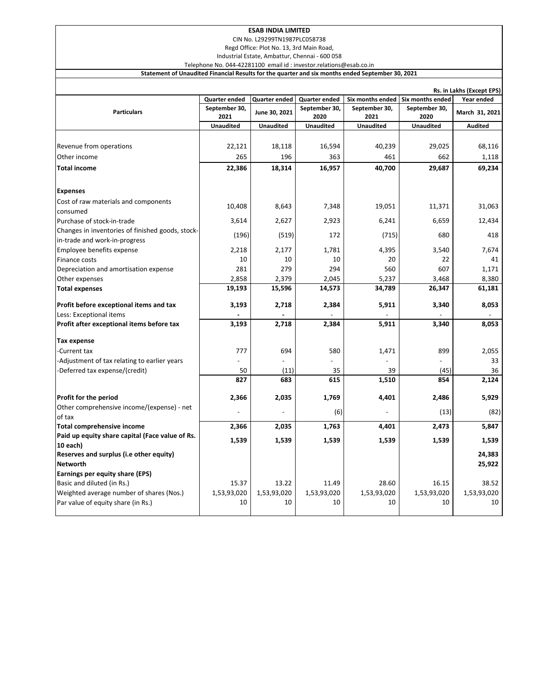CIN No. L29299TN1987PLC058738

Regd Office: Plot No. 13, 3rd Main Road, Industrial Estate, Ambattur, Chennai - 600 058

Telephone No. 044-42281100 email id : investor.relations@esab.co.in

**Statement of Unaudited Financial Results for the quarter and six months ended September 30, 2021**

|                                                  | Rs. in Lakhs (Except EPS) |                      |                  |                  |                  |                |
|--------------------------------------------------|---------------------------|----------------------|------------------|------------------|------------------|----------------|
|                                                  | Quarter ended             | <b>Quarter ended</b> | Quarter ended    | Six months ended | Six months ended | Year ended     |
| <b>Particulars</b>                               | September 30,             | June 30, 2021        | September 30,    | September 30,    | September 30,    | March 31, 2021 |
|                                                  | 2021                      |                      | 2020             | 2021             | 2020             |                |
|                                                  | <b>Unaudited</b>          | <b>Unaudited</b>     | <b>Unaudited</b> | <b>Unaudited</b> | <b>Unaudited</b> | <b>Audited</b> |
|                                                  |                           |                      |                  |                  |                  |                |
| Revenue from operations                          | 22,121                    | 18,118               | 16,594           | 40,239           | 29,025           | 68,116         |
| Other income                                     | 265                       | 196                  | 363              | 461              | 662              | 1,118          |
| <b>Total income</b>                              | 22,386                    | 18,314               | 16,957           | 40,700           | 29,687           | 69,234         |
| <b>Expenses</b>                                  |                           |                      |                  |                  |                  |                |
| Cost of raw materials and components             |                           |                      |                  |                  |                  |                |
| consumed                                         | 10,408                    | 8,643                | 7,348            | 19,051           | 11,371           | 31,063         |
| Purchase of stock-in-trade                       | 3,614                     | 2,627                | 2,923            | 6,241            | 6,659            | 12,434         |
| Changes in inventories of finished goods, stock- | (196)                     | (519)                | 172              | (715)            | 680              | 418            |
| in-trade and work-in-progress                    |                           |                      |                  |                  |                  |                |
| Employee benefits expense                        | 2,218                     | 2,177                | 1,781            | 4,395            | 3,540            | 7,674          |
| Finance costs                                    | 10                        | 10                   | 10               | 20               | 22               | 41             |
| Depreciation and amortisation expense            | 281                       | 279                  | 294              | 560              | 607              | 1,171          |
| Other expenses                                   | 2,858                     | 2,379                | 2,045            | 5,237            | 3,468            | 8,380          |
| <b>Total expenses</b>                            | 19,193                    | 15,596               | 14,573           | 34,789           | 26,347           | 61,181         |
| Profit before exceptional items and tax          | 3,193                     | 2,718                | 2,384            | 5,911            | 3,340            | 8,053          |
| Less: Exceptional items                          |                           |                      |                  |                  |                  |                |
| Profit after exceptional items before tax        | 3,193                     | 2,718                | 2,384            | 5,911            | 3,340            | 8,053          |
| Tax expense                                      |                           |                      |                  |                  |                  |                |
| -Current tax                                     | 777                       | 694                  | 580              | 1,471            | 899              | 2,055          |
| Adjustment of tax relating to earlier years      |                           |                      |                  |                  |                  | 33             |
| -Deferred tax expense/(credit)                   | 50                        | (11)                 | 35               | 39               | (45)             | 36             |
|                                                  | 827                       | 683                  | 615              | 1,510            | 854              | 2,124          |
| Profit for the period                            | 2,366                     | 2,035                | 1,769            | 4,401            | 2,486            | 5,929          |
| Other comprehensive income/(expense) - net       |                           |                      |                  |                  |                  |                |
| of tax                                           |                           |                      | (6)              |                  | (13)             | (82)           |
| <b>Total comprehensive income</b>                | 2,366                     | 2,035                | 1,763            | 4,401            | 2,473            | 5,847          |
| Paid up equity share capital (Face value of Rs.  |                           |                      |                  |                  |                  |                |
| 10 each)                                         | 1,539                     | 1,539                | 1,539            | 1,539            | 1,539            | 1,539          |
| Reserves and surplus (i.e other equity)          |                           |                      |                  |                  |                  | 24,383         |
| <b>Networth</b>                                  |                           |                      |                  |                  |                  | 25,922         |
| Earnings per equity share (EPS)                  |                           |                      |                  |                  |                  |                |
| Basic and diluted (in Rs.)                       | 15.37                     | 13.22                | 11.49            | 28.60            | 16.15            | 38.52          |
| Weighted average number of shares (Nos.)         | 1,53,93,020               | 1,53,93,020          | 1,53,93,020      | 1,53,93,020      | 1,53,93,020      | 1,53,93,020    |
| Par value of equity share (in Rs.)               | 10                        | 10                   | 10               | 10               | 10               | 10             |
|                                                  |                           |                      |                  |                  |                  |                |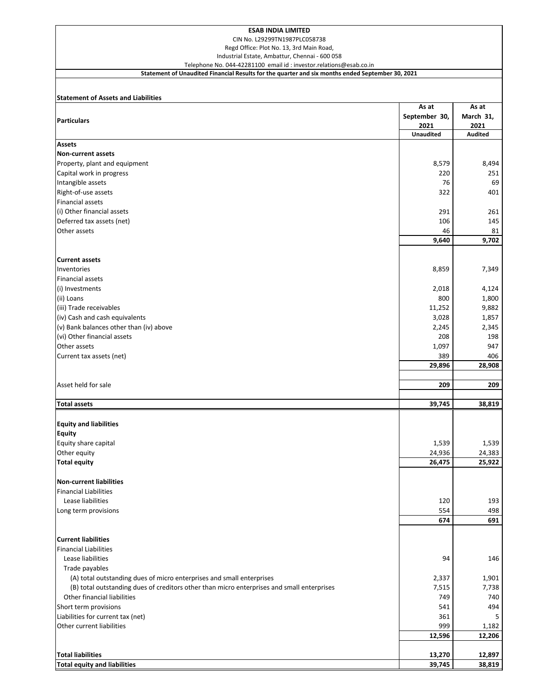CIN No. L29299TN1987PLC058738

Regd Office: Plot No. 13, 3rd Main Road,

Industrial Estate, Ambattur, Chennai - 600 058

### Telephone No. 044-42281100 email id : investor.relations@esab.co.in **Statement of Unaudited Financial Results for the quarter and six months ended September 30, 2021**

## **Statement of Assets and Liabilities**

|                                                                                            | As at            | As at          |
|--------------------------------------------------------------------------------------------|------------------|----------------|
| <b>Particulars</b>                                                                         | September 30,    | March 31,      |
|                                                                                            | 2021             | 2021           |
|                                                                                            | <b>Unaudited</b> | <b>Audited</b> |
| <b>Assets</b>                                                                              |                  |                |
| <b>Non-current assets</b>                                                                  |                  |                |
| Property, plant and equipment                                                              | 8,579            | 8,494          |
| Capital work in progress                                                                   | 220              | 251            |
| Intangible assets                                                                          | 76               | 69             |
| Right-of-use assets                                                                        | 322              | 401            |
| <b>Financial assets</b>                                                                    |                  |                |
| (i) Other financial assets                                                                 | 291              | 261            |
| Deferred tax assets (net)                                                                  | 106              | 145            |
| Other assets                                                                               | 46               | 81             |
|                                                                                            | 9,640            | 9,702          |
|                                                                                            |                  |                |
| <b>Current assets</b>                                                                      |                  |                |
| Inventories                                                                                | 8,859            | 7,349          |
| <b>Financial assets</b>                                                                    |                  |                |
| (i) Investments                                                                            | 2,018            | 4,124          |
| (ii) Loans                                                                                 | 800              | 1,800          |
| (iii) Trade receivables                                                                    | 11,252           | 9,882          |
| (iv) Cash and cash equivalents                                                             | 3,028            | 1,857          |
| (v) Bank balances other than (iv) above                                                    | 2,245            | 2,345          |
| (vi) Other financial assets                                                                | 208              | 198            |
| Other assets                                                                               | 1,097            | 947            |
| Current tax assets (net)                                                                   | 389              | 406            |
|                                                                                            | 29,896           | 28,908         |
|                                                                                            |                  |                |
| Asset held for sale                                                                        | 209              | 209            |
|                                                                                            |                  |                |
| <b>Total assets</b>                                                                        | 39,745           | 38,819         |
|                                                                                            |                  |                |
| <b>Equity and liabilities</b>                                                              |                  |                |
| <b>Equity</b>                                                                              |                  |                |
| Equity share capital                                                                       | 1,539            | 1,539          |
| Other equity                                                                               | 24,936           | 24,383         |
| <b>Total equity</b>                                                                        | 26,475           | 25,922         |
|                                                                                            |                  |                |
| <b>Non-current liabilities</b>                                                             |                  |                |
| <b>Financial Liabilities</b>                                                               |                  |                |
| Lease liabilities                                                                          | 120              | 193            |
| Long term provisions                                                                       | 554              | 498            |
|                                                                                            | 674              | 691            |
|                                                                                            |                  |                |
| <b>Current liabilities</b>                                                                 |                  |                |
| <b>Financial Liabilities</b>                                                               |                  |                |
| Lease liabilities                                                                          | 94               | 146            |
| Trade payables                                                                             |                  |                |
| (A) total outstanding dues of micro enterprises and small enterprises                      | 2,337            | 1,901          |
| (B) total outstanding dues of creditors other than micro enterprises and small enterprises | 7,515            | 7,738          |
| Other financial liabilities                                                                | 749              | 740            |
| Short term provisions                                                                      | 541              | 494            |
| Liabilities for current tax (net)                                                          | 361              |                |
| Other current liabilities                                                                  | 999              | 1,182          |
|                                                                                            | 12,596           | 12,206         |
|                                                                                            |                  |                |
| <b>Total liabilities</b>                                                                   | 13,270           | 12,897         |
| <b>Total equity and liabilities</b>                                                        | 39,745           | 38,819         |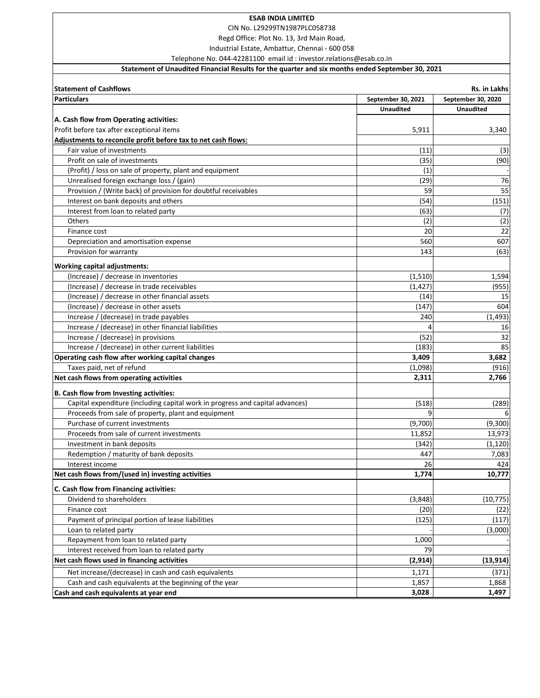CIN No. L29299TN1987PLC058738

Regd Office: Plot No. 13, 3rd Main Road,

Industrial Estate, Ambattur, Chennai - 600 058

Telephone No. 044-42281100 email id : investor.relations@esab.co.in

# **Statement of Unaudited Financial Results for the quarter and six months ended September 30, 2021**

| <b>Statement of Cashflows</b>                                                 |                    | Rs. in Lakhs       |
|-------------------------------------------------------------------------------|--------------------|--------------------|
| <b>Particulars</b>                                                            | September 30, 2021 | September 30, 2020 |
|                                                                               | <b>Unaudited</b>   | <b>Unaudited</b>   |
| A. Cash flow from Operating activities:                                       |                    |                    |
| Profit before tax after exceptional items                                     | 5,911              | 3,340              |
| Adjustments to reconcile profit before tax to net cash flows:                 |                    |                    |
| Fair value of investments                                                     | (11)               | (3)                |
| Profit on sale of investments                                                 | (35)               | (90)               |
| (Profit) / loss on sale of property, plant and equipment                      | (1)                |                    |
| Unrealised foreign exchange loss / (gain)                                     | (29)               | 76                 |
| Provision / (Write back) of provision for doubtful receivables                | 59                 | 55                 |
| Interest on bank deposits and others                                          | (54)               | (151)              |
| Interest from loan to related party                                           | (63)               | (7)                |
| Others                                                                        | (2)                | (2)                |
| Finance cost                                                                  | 20                 | 22                 |
| Depreciation and amortisation expense                                         | 560                | 607                |
| Provision for warranty                                                        | 143                | (63)               |
| <b>Working capital adjustments:</b>                                           |                    |                    |
| (Increase) / decrease in inventories                                          | (1,510)            | 1,594              |
| (Increase) / decrease in trade receivables                                    | (1, 427)           | (955)              |
| (Increase) / decrease in other financial assets                               | (14)               | 15                 |
| (Increase) / decrease in other assets                                         | (147)              | 604                |
|                                                                               | 240                | (1, 493)           |
| Increase / (decrease) in trade payables                                       |                    | 16                 |
| Increase / (decrease) in other financial liabilities                          |                    | 32                 |
| Increase / (decrease) in provisions                                           | (52)               | 85                 |
| Increase / (decrease) in other current liabilities                            | (183)              | 3,682              |
| Operating cash flow after working capital changes                             | 3,409              |                    |
| Taxes paid, net of refund<br>Net cash flows from operating activities         | (1,098)<br>2,311   | (916)<br>2,766     |
|                                                                               |                    |                    |
| B. Cash flow from Investing activities:                                       |                    |                    |
| Capital expenditure (including capital work in progress and capital advances) | (518)              | (289)              |
| Proceeds from sale of property, plant and equipment                           | 9                  |                    |
| Purchase of current investments                                               | (9,700)            | (9,300)            |
| Proceeds from sale of current investments                                     | 11,852             | 13,973             |
| Investment in bank deposits                                                   | (342)              | (1, 120)           |
| Redemption / maturity of bank deposits                                        | 447                | 7,083              |
| Interest income                                                               | 26                 | 424                |
| Net cash flows from/(used in) investing activities                            | 1,774              | 10,777             |
| C. Cash flow from Financing activities:                                       |                    |                    |
| Dividend to shareholders                                                      | (3,848)            | (10, 775)          |
| Finance cost                                                                  | (20)               | (22)               |
| Payment of principal portion of lease liabilities                             | (125)              | (117)              |
| Loan to related party                                                         |                    | (3,000)            |
| Repayment from loan to related party                                          | 1,000              |                    |
| Interest received from loan to related party                                  | 79                 |                    |
| Net cash flows used in financing activities                                   | (2, 914)           | (13, 914)          |
| Net increase/(decrease) in cash and cash equivalents                          | 1,171              | (371)              |
| Cash and cash equivalents at the beginning of the year                        | 1,857              | 1,868              |
| Cash and cash equivalents at year end                                         | 3,028              | 1,497              |